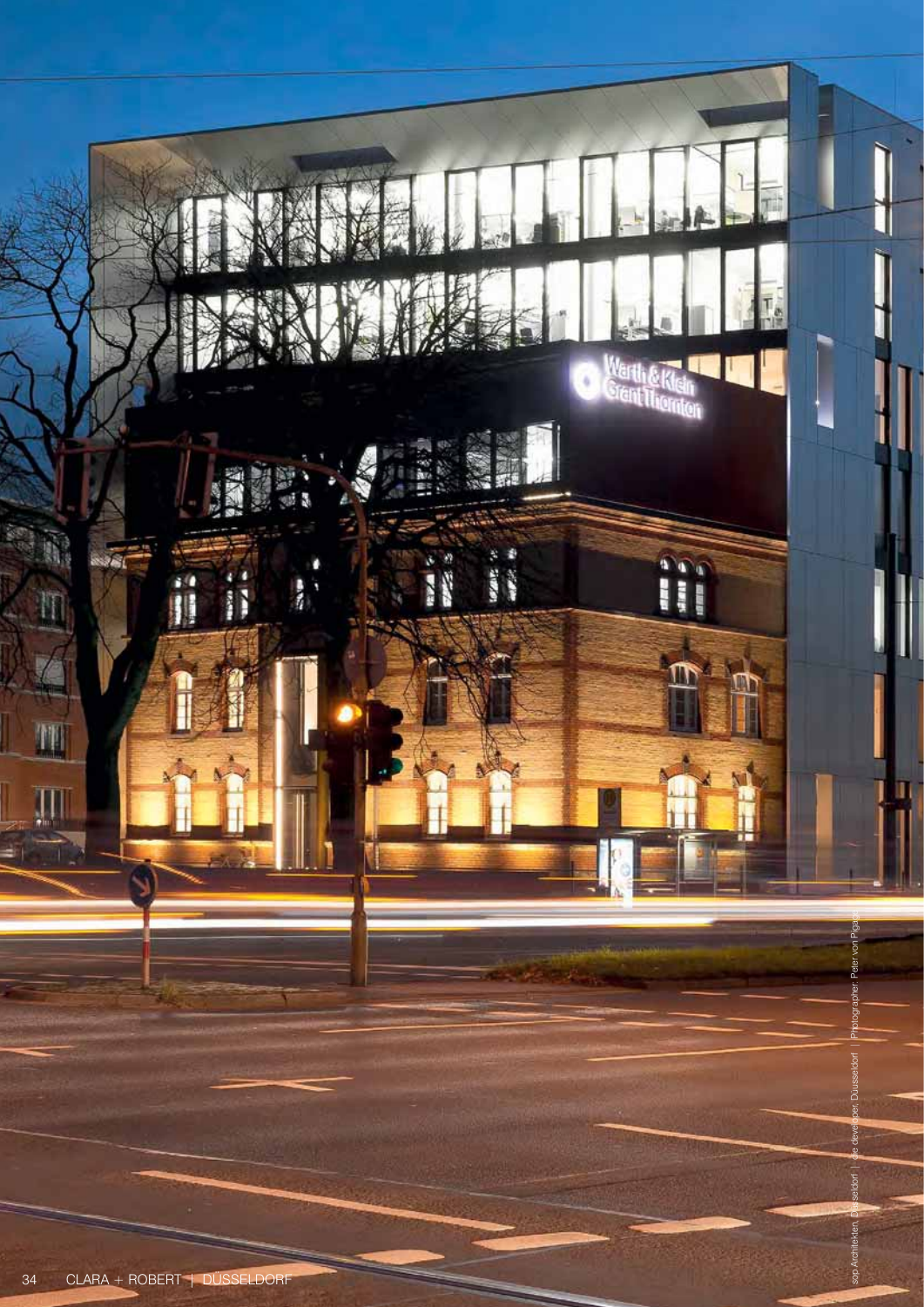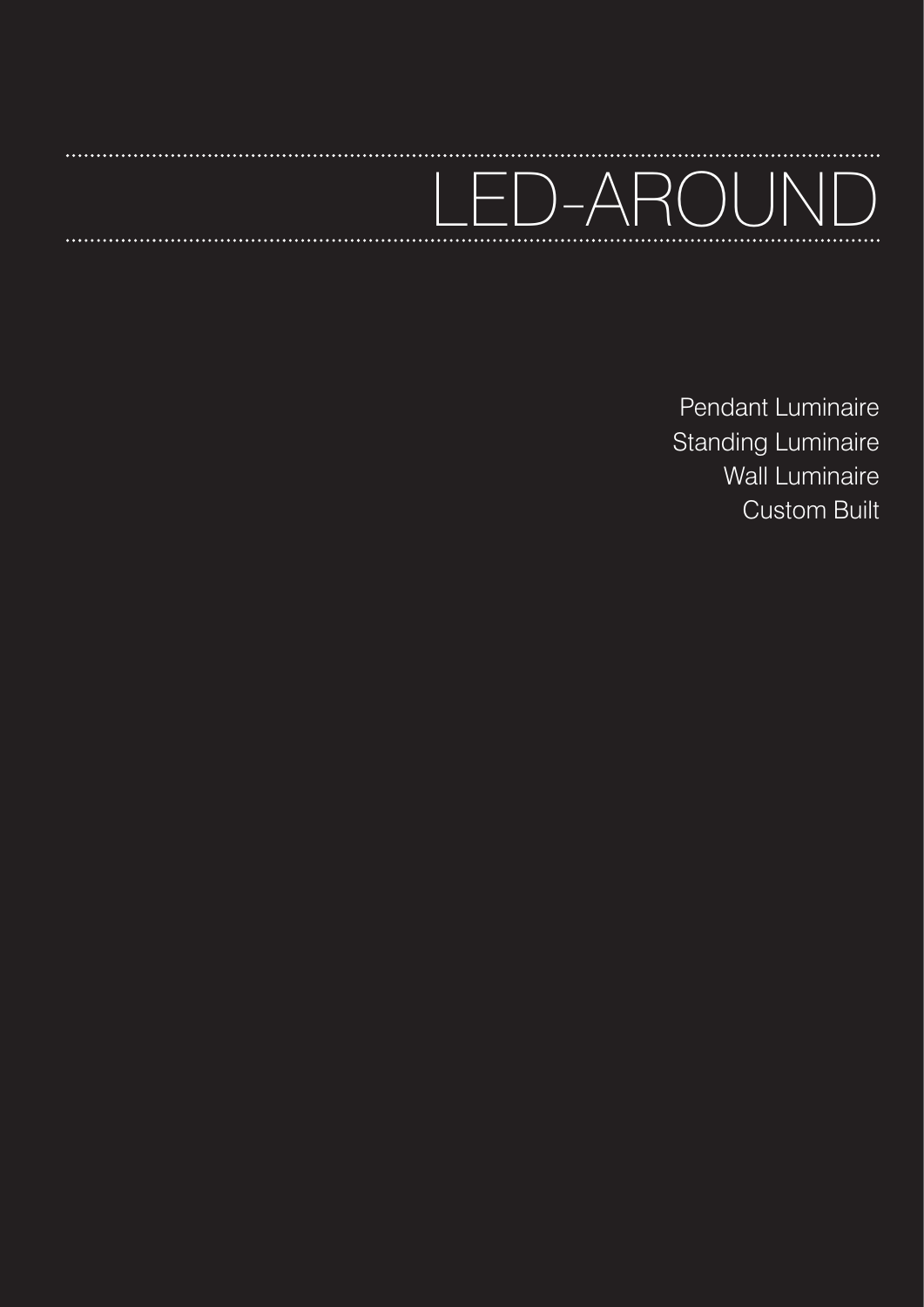# 1-AROUN

**\*\*\*\*\*\*\*\*\*\*** 

Pendant Luminaire Standing Luminaire Wall Luminaire Custom Built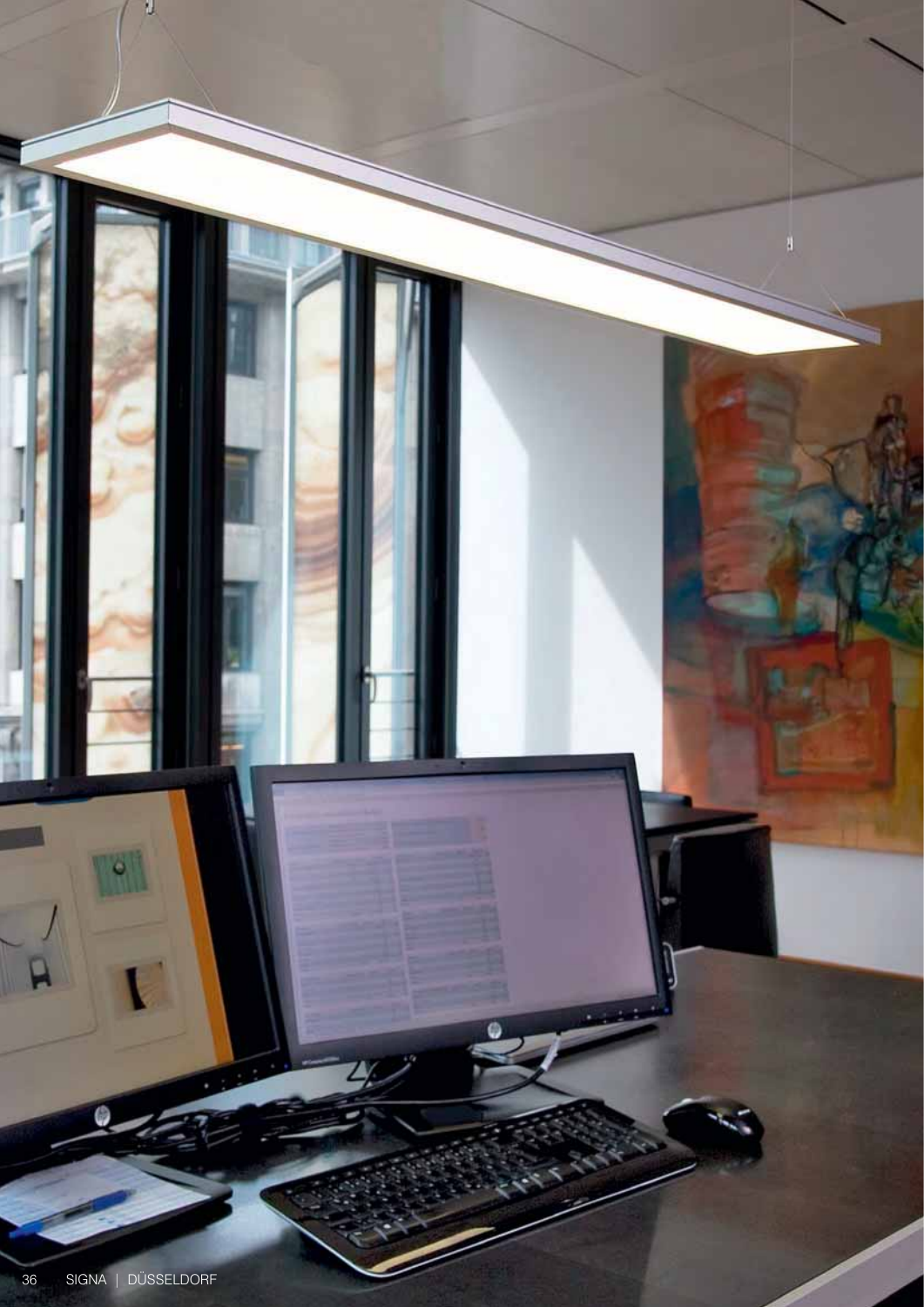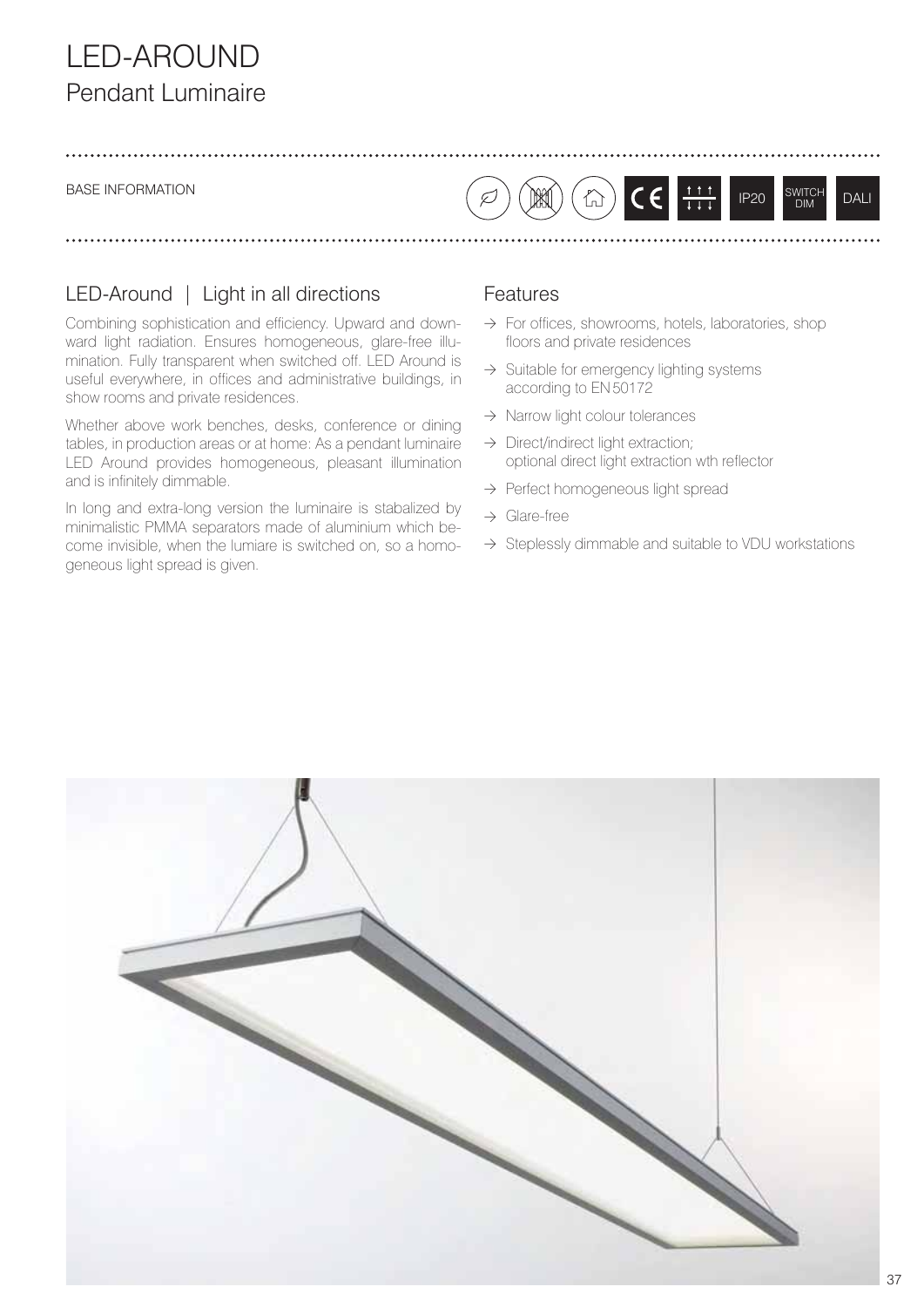# LED-AROUND Pendant Luminaire

#### BASE INFORMATION

### LED-Around | Light in all directions

Combining sophistication and efficiency. Upward and downward light radiation. Ensures homogeneous, glare-free illumination. Fully transparent when switched off. LED Around is useful everywhere, in offices and administrative buildings, in show rooms and private residences.

Whether above work benches, desks, conference or dining tables, in production areas or at home: As a pendant luminaire LED Around provides homogeneous, pleasant illumination and is infinitely dimmable.

In long and extra-long version the luminaire is stabalized by minimalistic PMMA separators made of aluminium which become invisible, when the lumiare is switched on, so a homogeneous light spread is given.

#### Features

 $\varnothing$ 

 $\rightarrow$  For offices, showrooms, hotels, laboratories, shop floors and private residences

 $C \in \left\lfloor \frac{1}{1+1} \right\rfloor$ 

IP20 SWITCH DIM DALI

- $\rightarrow$  Suitable for emergency lighting systems according to EN 50172
- → Narrow light colour tolerances

 $\bigwedge^\bullet$ 

- $\rightarrow$  Direct/indirect light extraction; optional direct light extraction wth reflector
- → Perfect homogeneous light spread
- $\rightarrow$  Glare-free
- $\rightarrow$  Steplessly dimmable and suitable to VDU workstations

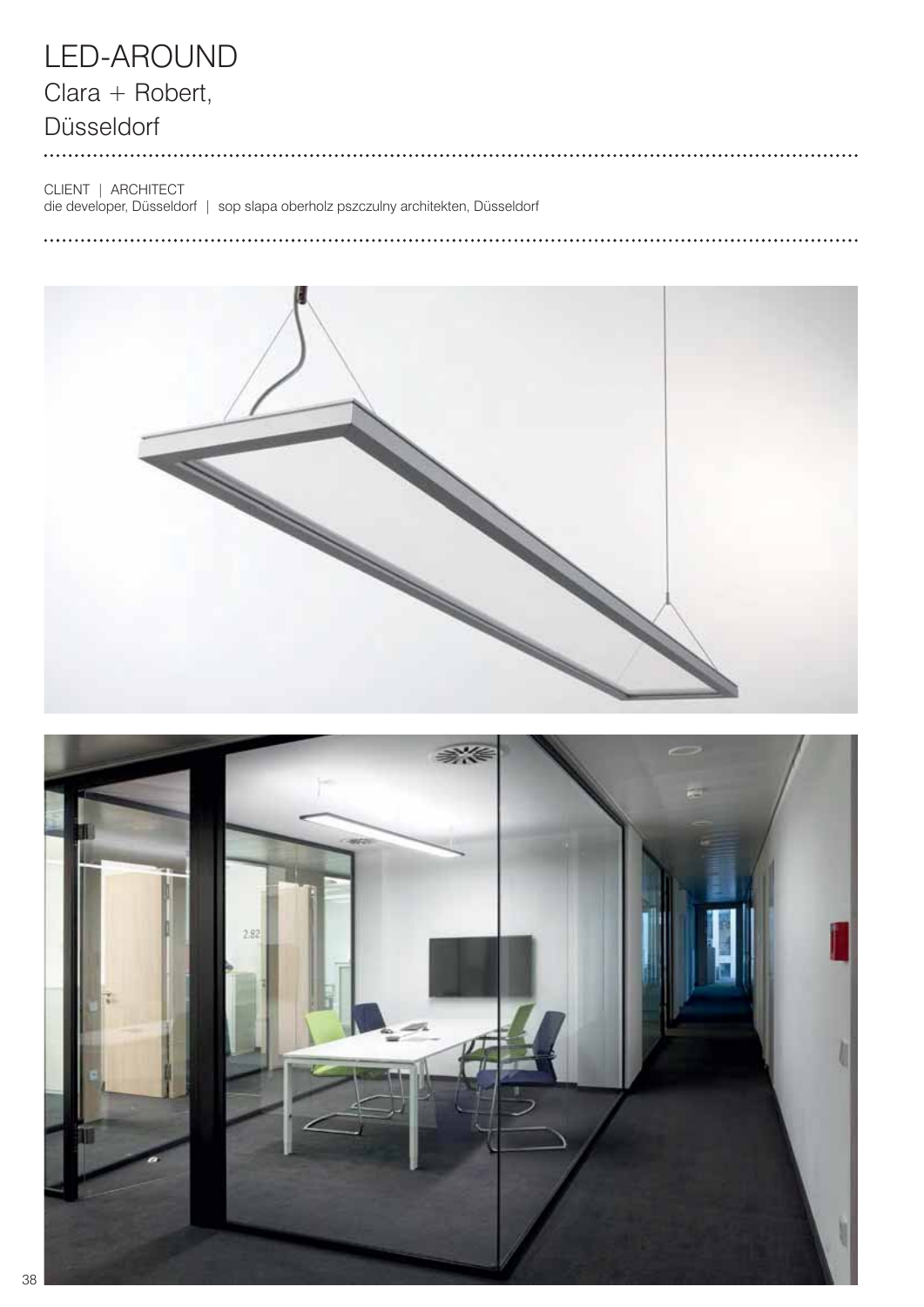# LED-AROUND

## Clara + Robert,

## Düsseldorf

. . . . . . . . .

CLIENT | ARCHITECT

die developer, Düsseldorf | sop slapa oberholz pszczulny architekten, Düsseldorf